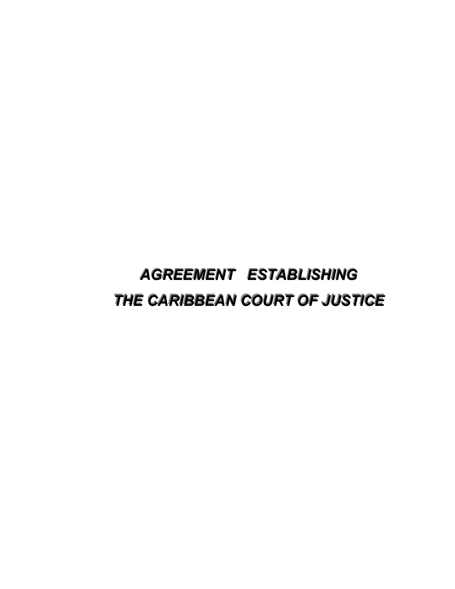# *AGREEMENT ESTABLISHING AGREEMENT ESTABLISHING* **THE CARIBBEAN COURT OF JUSTICE**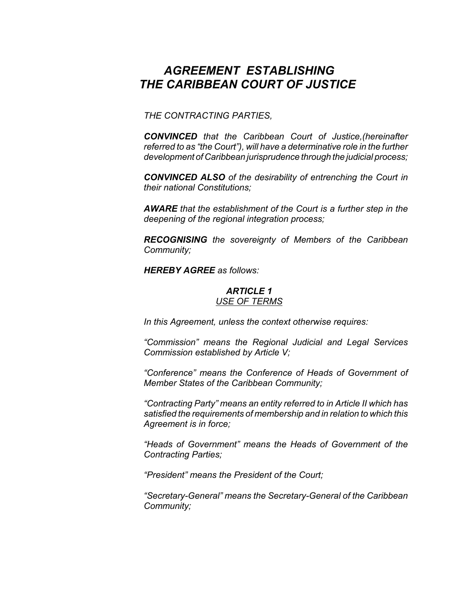# *AGREEMENT ESTABLISHING THE CARIBBEAN COURT OF JUSTICE*

*THE CONTRACTING PARTIES,*

*CONVINCED that the Caribbean Court of Justice,(hereinafter referred to as "the Court"), will have a determinative role in the further development of Caribbean jurisprudence through the judicial process;*

*CONVINCED ALSO of the desirability of entrenching the Court in their national Constitutions;*

*AWARE that the establishment of the Court is a further step in the deepening of the regional integration process;*

*RECOGNISING the sovereignty of Members of the Caribbean Community;*

*HEREBY AGREE as follows:*

#### *ARTICLE 1 USE OF TERMS*

*In this Agreement, unless the context otherwise requires:*

*"Commission" means the Regional Judicial and Legal Services Commission established by Article V;*

*"Conference" means the Conference of Heads of Government of Member States of the Caribbean Community;*

*"Contracting Party" means an entity referred to in Article II which has satisfied the requirements of membership and in relation to which this Agreement is in force;*

*"Heads of Government" means the Heads of Government of the Contracting Parties;*

*"President" means the President of the Court;*

*"Secretary-General" means the Secretary-General of the Caribbean Community;*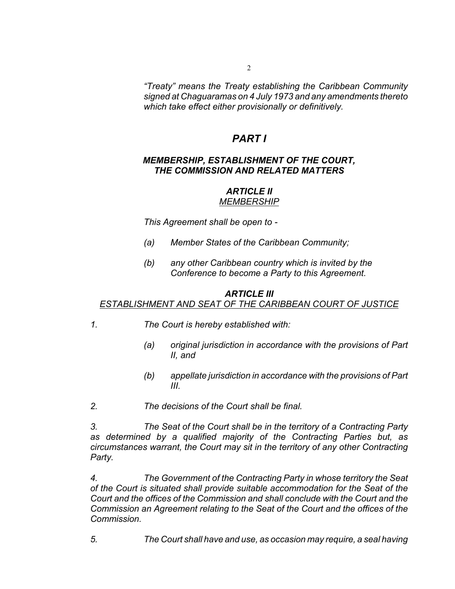*"Treaty" means the Treaty establishing the Caribbean Community signed at Chaguaramas on 4 July 1973 and any amendments thereto which take effect either provisionally or definitively.*

## *PART I*

## *MEMBERSHIP, ESTABLISHMENT OF THE COURT, THE COMMISSION AND RELATED MATTERS*

#### *ARTICLE II MEMBERSHIP*

*This Agreement shall be open to -*

- *(a) Member States of the Caribbean Community;*
- *(b) any other Caribbean country which is invited by the Conference to become a Party to this Agreement.*

#### *ARTICLE III*

#### *ESTABLISHMENT AND SEAT OF THE CARIBBEAN COURT OF JUSTICE*

- *1. The Court is hereby established with:*
	- *(a) original jurisdiction in accordance with the provisions of Part II, and*
	- *(b) appellate jurisdiction in accordance with the provisions of Part III.*
- *2. The decisions of the Court shall be final.*

*3. The Seat of the Court shall be in the territory of a Contracting Party as determined by a qualified majority of the Contracting Parties but, as circumstances warrant, the Court may sit in the territory of any other Contracting Party.*

*4. The Government of the Contracting Party in whose territory the Seat of the Court is situated shall provide suitable accommodation for the Seat of the Court and the offices of the Commission and shall conclude with the Court and the Commission an Agreement relating to the Seat of the Court and the offices of the Commission.*

*5. The Court shall have and use, as occasion may require, a seal having*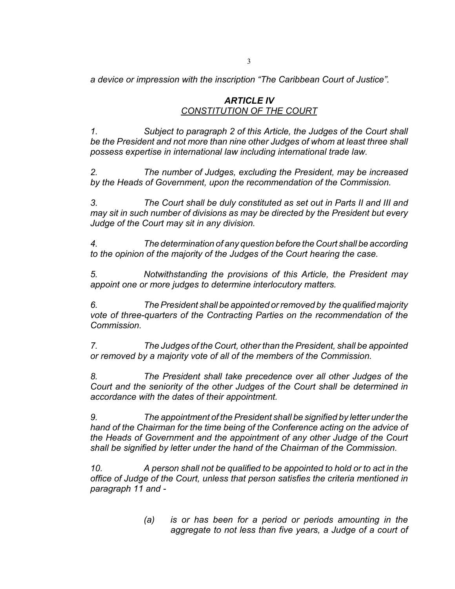*a device or impression with the inscription "The Caribbean Court of Justice".*

## *ARTICLE IV CONSTITUTION OF THE COURT*

*1. Subject to paragraph 2 of this Article, the Judges of the Court shall be the President and not more than nine other Judges of whom at least three shall possess expertise in international law including international trade law.*

*2. The number of Judges, excluding the President, may be increased by the Heads of Government, upon the recommendation of the Commission.*

*3. The Court shall be duly constituted as set out in Parts II and III and may sit in such number of divisions as may be directed by the President but every Judge of the Court may sit in any division.*

*4. The determination of any question before the Court shall be according to the opinion of the majority of the Judges of the Court hearing the case.*

*5. Notwithstanding the provisions of this Article, the President may appoint one or more judges to determine interlocutory matters.*

*6. The President shall be appointed or removed by the qualified majority vote of three-quarters of the Contracting Parties on the recommendation of the Commission.*

*7. The Judges of the Court, other than the President, shall be appointed or removed by a majority vote of all of the members of the Commission.*

*8. The President shall take precedence over all other Judges of the Court and the seniority of the other Judges of the Court shall be determined in accordance with the dates of their appointment.*

*9. The appointment of the President shall be signified by letter under the hand of the Chairman for the time being of the Conference acting on the advice of the Heads of Government and the appointment of any other Judge of the Court shall be signified by letter under the hand of the Chairman of the Commission.*

*10. A person shall not be qualified to be appointed to hold or to act in the office of Judge of the Court, unless that person satisfies the criteria mentioned in paragraph 11 and -*

> *(a) is or has been for a period or periods amounting in the aggregate to not less than five years, a Judge of a court of*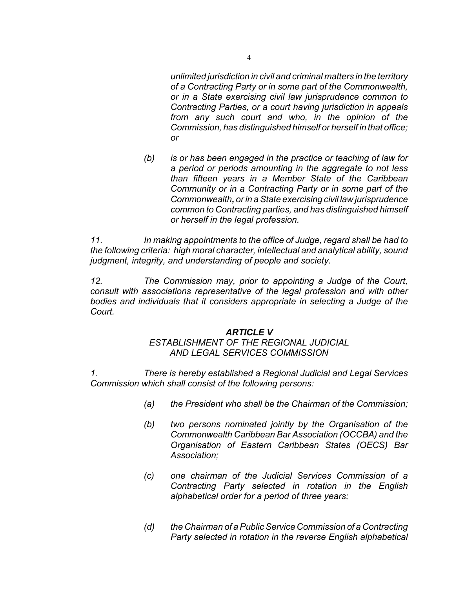*unlimited jurisdiction in civil and criminal matters in the territory of a Contracting Party or in some part of the Commonwealth, or in a State exercising civil law jurisprudence common to Contracting Parties, or a court having jurisdiction in appeals from any such court and who, in the opinion of the Commission, has distinguished himself or herself in that office; or*

*(b) is or has been engaged in the practice or teaching of law for a period or periods amounting in the aggregate to not less than fifteen years in a Member State of the Caribbean Community or in a Contracting Party or in some part of the Commonwealth, or in a State exercising civil law jurisprudence common to Contracting parties, and has distinguished himself or herself in the legal profession.*

*11. In making appointments to the office of Judge, regard shall be had to the following criteria: high moral character, intellectual and analytical ability, sound judgment, integrity, and understanding of people and society.*

*12. The Commission may, prior to appointing a Judge of the Court, consult with associations representative of the legal profession and with other bodies and individuals that it considers appropriate in selecting a Judge of the Court.*

#### *ARTICLE V*

## *ESTABLISHMENT OF THE REGIONAL JUDICIAL AND LEGAL SERVICES COMMISSION*

*1. There is hereby established a Regional Judicial and Legal Services Commission which shall consist of the following persons:*

- *(a) the President who shall be the Chairman of the Commission;*
- *(b) two persons nominated jointly by the Organisation of the Commonwealth Caribbean Bar Association (OCCBA) and the Organisation of Eastern Caribbean States (OECS) Bar Association;*
- *(c) one chairman of the Judicial Services Commission of a Contracting Party selected in rotation in the English alphabetical order for a period of three years;*
- *(d) the Chairman of a Public Service Commission of a Contracting Party selected in rotation in the reverse English alphabetical*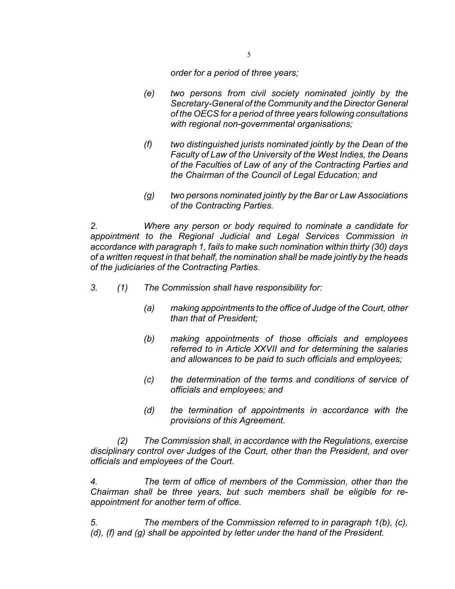*order for a period of three years;*

- *(e) two persons from civil society nominated jointly by the Secretary-General of the Community and the Director General of the OECS for a period of three years following consultations with regional non-governmental organisations;*
- *(f) two distinguished jurists nominated jointly by the Dean of the Faculty of Law of the University of the West Indies, the Deans of the Faculties of Law of any of the Contracting Parties and the Chairman of the Council of Legal Education; and*
- *(g) two persons nominated jointly by the Bar or Law Associations of the Contracting Parties.*

*2. Where any person or body required to nominate a candidate for appointment to the Regional Judicial and Legal Services Commission in accordance with paragraph 1, fails to make such nomination within thirty (30) days of a written request in that behalf, the nomination shall be made jointly by the heads of the judiciaries of the Contracting Parties.*

- *3. (1) The Commission shall have responsibility for:*
	- *(a) making appointments to the office of Judge of the Court, other than that of President;*
	- *(b) making appointments of those officials and employees referred to in Article XXVII and for determining the salaries and allowances to be paid to such officials and employees;*
	- *(c) the determination of the terms and conditions of service of officials and employees; and*
	- *(d) the termination of appointments in accordance with the provisions of this Agreement.*

*(2) The Commission shall, in accordance with the Regulations, exercise disciplinary control over Judges of the Court, other than the President, and over officials and employees of the Court.*

*4. The term of office of members of the Commission, other than the Chairman shall be three years, but such members shall be eligible for reappointment for another term of office.*

*5. The members of the Commission referred to in paragraph 1(b), (c), (d), (f) and (g) shall be appointed by letter under the hand of the President.*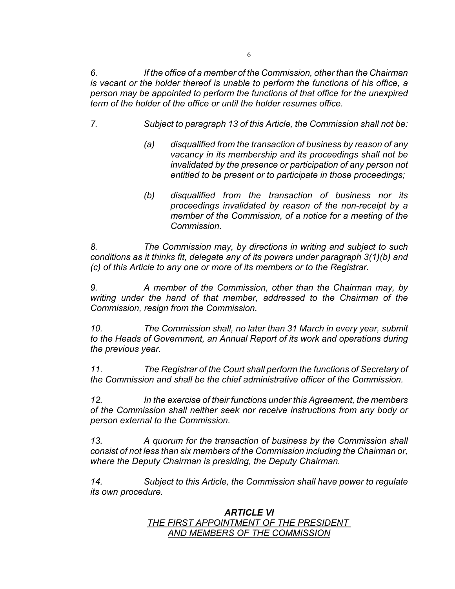*6. If the office of a member of the Commission, other than the Chairman is vacant or the holder thereof is unable to perform the functions of his office, a person may be appointed to perform the functions of that office for the unexpired term of the holder of the office or until the holder resumes office.*

- *7. Subject to paragraph 13 of this Article, the Commission shall not be:*
	- *(a) disqualified from the transaction of business by reason of any vacancy in its membership and its proceedings shall not be invalidated by the presence or participation of any person not entitled to be present or to participate in those proceedings;*
	- *(b) disqualified from the transaction of business nor its proceedings invalidated by reason of the non-receipt by a member of the Commission, of a notice for a meeting of the Commission.*

*8. The Commission may, by directions in writing and subject to such conditions as it thinks fit, delegate any of its powers under paragraph 3(1)(b) and (c) of this Article to any one or more of its members or to the Registrar.* 

*9. A member of the Commission, other than the Chairman may, by writing under the hand of that member, addressed to the Chairman of the Commission, resign from the Commission.*

*10. The Commission shall, no later than 31 March in every year, submit to the Heads of Government, an Annual Report of its work and operations during the previous year.*

*11. The Registrar of the Court shall perform the functions of Secretary of the Commission and shall be the chief administrative officer of the Commission.*

*12. In the exercise of their functions under this Agreement, the members of the Commission shall neither seek nor receive instructions from any body or person external to the Commission.*

*13. A quorum for the transaction of business by the Commission shall consist of not less than six members of the Commission including the Chairman or, where the Deputy Chairman is presiding, the Deputy Chairman.*

*14. Subject to this Article, the Commission shall have power to regulate its own procedure.*

## *ARTICLE VI THE FIRST APPOINTMENT OF THE PRESIDENT AND MEMBERS OF THE COMMISSION*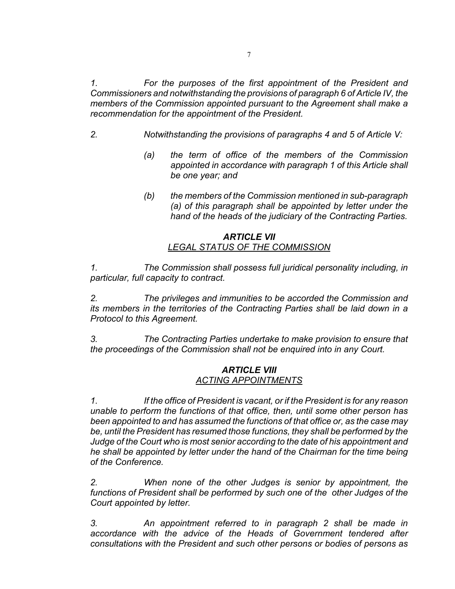*1. For the purposes of the first appointment of the President and Commissioners and notwithstanding the provisions of paragraph 6 of Article IV, the members of the Commission appointed pursuant to the Agreement shall make a recommendation for the appointment of the President.*

- *2. Notwithstanding the provisions of paragraphs 4 and 5 of Article V:*
	- *(a) the term of office of the members of the Commission appointed in accordance with paragraph 1 of this Article shall be one year; and*
	- *(b) the members of the Commission mentioned in sub-paragraph (a) of this paragraph shall be appointed by letter under the hand of the heads of the judiciary of the Contracting Parties.*

#### *ARTICLE VII LEGAL STATUS OF THE COMMISSION*

*1. The Commission shall possess full juridical personality including, in particular, full capacity to contract.*

*2. The privileges and immunities to be accorded the Commission and its members in the territories of the Contracting Parties shall be laid down in a Protocol to this Agreement.*

*3. The Contracting Parties undertake to make provision to ensure that the proceedings of the Commission shall not be enquired into in any Court.*

#### *ARTICLE VIII ACTING APPOINTMENTS*

*1. If the office of President is vacant, or if the President is for any reason unable to perform the functions of that office, then, until some other person has been appointed to and has assumed the functions of that office or, as the case may be, until the President has resumed those functions, they shall be performed by the Judge of the Court who is most senior according to the date of his appointment and he shall be appointed by letter under the hand of the Chairman for the time being of the Conference.*

*2. When none of the other Judges is senior by appointment, the functions of President shall be performed by such one of the other Judges of the Court appointed by letter.*

*3. An appointment referred to in paragraph 2 shall be made in accordance with the advice of the Heads of Government tendered after consultations with the President and such other persons or bodies of persons as*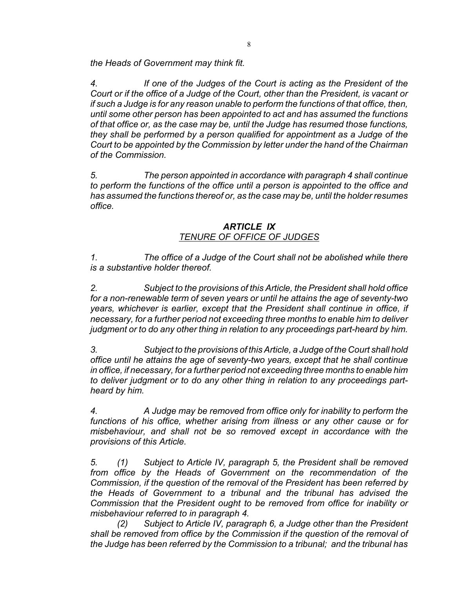*the Heads of Government may think fit.*

*4. If one of the Judges of the Court is acting as the President of the Court or if the office of a Judge of the Court, other than the President, is vacant or if such a Judge is for any reason unable to perform the functions of that office, then, until some other person has been appointed to act and has assumed the functions of that office or, as the case may be, until the Judge has resumed those functions, they shall be performed by a person qualified for appointment as a Judge of the Court to be appointed by the Commission by letter under the hand of the Chairman of the Commission.*

*5. The person appointed in accordance with paragraph 4 shall continue to perform the functions of the office until a person is appointed to the office and has assumed the functions thereof or, as the case may be, until the holder resumes office.*

## *ARTICLE IX TENURE OF OFFICE OF JUDGES*

*1. The office of a Judge of the Court shall not be abolished while there is a substantive holder thereof.*

*2. Subject to the provisions of this Article, the President shall hold office for a non-renewable term of seven years or until he attains the age of seventy-two years, whichever is earlier, except that the President shall continue in office, if necessary, for a further period not exceeding three months to enable him to deliver judgment or to do any other thing in relation to any proceedings part-heard by him.*

*3. Subject to the provisions of this Article, a Judge of the Court shall hold office until he attains the age of seventy-two years, except that he shall continue in office, if necessary, for a further period not exceeding three months to enable him to deliver judgment or to do any other thing in relation to any proceedings partheard by him.* 

*4. A Judge may be removed from office only for inability to perform the functions of his office, whether arising from illness or any other cause or for misbehaviour, and shall not be so removed except in accordance with the provisions of this Article.*

*5. (1) Subject to Article IV, paragraph 5, the President shall be removed from office by the Heads of Government on the recommendation of the Commission, if the question of the removal of the President has been referred by the Heads of Government to a tribunal and the tribunal has advised the Commission that the President ought to be removed from office for inability or misbehaviour referred to in paragraph 4.*

*(2) Subject to Article IV, paragraph 6, a Judge other than the President shall be removed from office by the Commission if the question of the removal of the Judge has been referred by the Commission to a tribunal; and the tribunal has*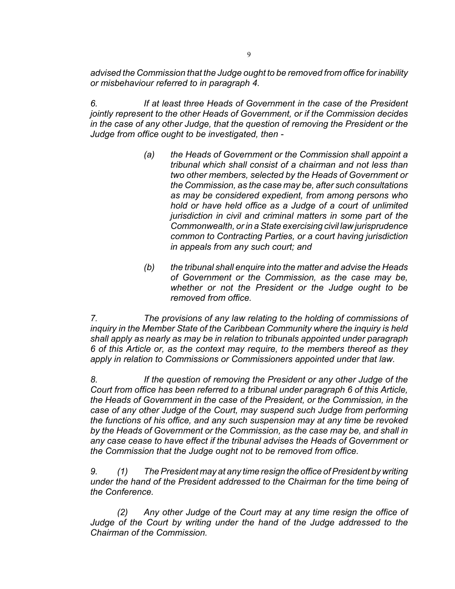*advised the Commission that the Judge ought to be removed from office for inability or misbehaviour referred to in paragraph 4.*

*6. If at least three Heads of Government in the case of the President jointly represent to the other Heads of Government, or if the Commission decides in the case of any other Judge, that the question of removing the President or the Judge from office ought to be investigated, then -*

- *(a) the Heads of Government or the Commission shall appoint a tribunal which shall consist of a chairman and not less than two other members, selected by the Heads of Government or the Commission, as the case may be, after such consultations as may be considered expedient, from among persons who hold or have held office as a Judge of a court of unlimited jurisdiction in civil and criminal matters in some part of the Commonwealth, or in a State exercising civil law jurisprudence common to Contracting Parties, or a court having jurisdiction in appeals from any such court; and*
- *(b) the tribunal shall enquire into the matter and advise the Heads of Government or the Commission, as the case may be, whether or not the President or the Judge ought to be removed from office.*

*7. The provisions of any law relating to the holding of commissions of inquiry in the Member State of the Caribbean Community where the inquiry is held shall apply as nearly as may be in relation to tribunals appointed under paragraph 6 of this Article or, as the context may require, to the members thereof as they apply in relation to Commissions or Commissioners appointed under that law.*

*8. If the question of removing the President or any other Judge of the Court from office has been referred to a tribunal under paragraph 6 of this Article, the Heads of Government in the case of the President, or the Commission, in the case of any other Judge of the Court, may suspend such Judge from performing the functions of his office, and any such suspension may at any time be revoked by the Heads of Government or the Commission, as the case may be, and shall in any case cease to have effect if the tribunal advises the Heads of Government or the Commission that the Judge ought not to be removed from office.*

*9. (1) The President may at any time resign the office of President by writing under the hand of the President addressed to the Chairman for the time being of the Conference.*

*(2) Any other Judge of the Court may at any time resign the office of Judge of the Court by writing under the hand of the Judge addressed to the Chairman of the Commission.*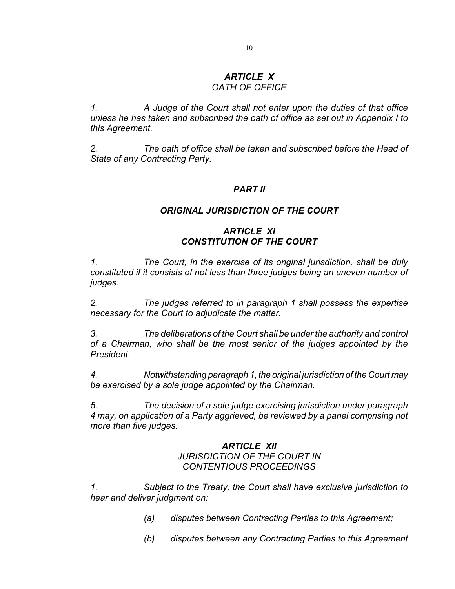#### *ARTICLE X OATH OF OFFICE*

*1. A Judge of the Court shall not enter upon the duties of that office unless he has taken and subscribed the oath of office as set out in Appendix I to this Agreement.*

*2. The oath of office shall be taken and subscribed before the Head of State of any Contracting Party.*

#### *PART II*

#### *ORIGINAL JURISDICTION OF THE COURT*

## *ARTICLE XI CONSTITUTION OF THE COURT*

*1. The Court, in the exercise of its original jurisdiction, shall be duly constituted if it consists of not less than three judges being an uneven number of judges.*

*2. The judges referred to in paragraph 1 shall possess the expertise necessary for the Court to adjudicate the matter.*

*3. The deliberations of the Court shall be under the authority and control of a Chairman, who shall be the most senior of the judges appointed by the President.*

*4. Notwithstanding paragraph 1, the original jurisdiction of the Court may be exercised by a sole judge appointed by the Chairman.*

*5. The decision of a sole judge exercising jurisdiction under paragraph 4 may, on application of a Party aggrieved, be reviewed by a panel comprising not more than five judges.*

#### *ARTICLE XII JURISDICTION OF THE COURT IN CONTENTIOUS PROCEEDINGS*

*1. Subject to the Treaty, the Court shall have exclusive jurisdiction to hear and deliver judgment on:*

- *(a) disputes between Contracting Parties to this Agreement;*
- *(b) disputes between any Contracting Parties to this Agreement*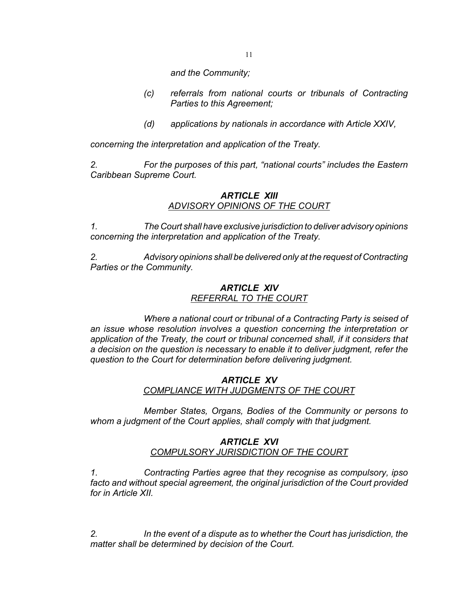11

*and the Community;*

- *(c) referrals from national courts or tribunals of Contracting Parties to this Agreement;*
- *(d) applications by nationals in accordance with Article XXIV,*

*concerning the interpretation and application of the Treaty.*

*2. For the purposes of this part, "national courts" includes the Eastern Caribbean Supreme Court.*

## *ARTICLE XIII ADVISORY OPINIONS OF THE COURT*

*1. The Court shall have exclusive jurisdiction to deliver advisory opinions concerning the interpretation and application of the Treaty.*

*2. Advisory opinions shall be delivered only at the request of Contracting Parties or the Community.*

## *ARTICLE XIV REFERRAL TO THE COURT*

*Where a national court or tribunal of a Contracting Party is seised of an issue whose resolution involves a question concerning the interpretation or application of the Treaty, the court or tribunal concerned shall, if it considers that a decision on the question is necessary to enable it to deliver judgment, refer the question to the Court for determination before delivering judgment.*

## *ARTICLE XV*

*COMPLIANCE WITH JUDGMENTS OF THE COURT*

*Member States, Organs, Bodies of the Community or persons to whom a judgment of the Court applies, shall comply with that judgment.*

## *ARTICLE XVI COMPULSORY JURISDICTION OF THE COURT*

*1. Contracting Parties agree that they recognise as compulsory, ipso facto and without special agreement, the original jurisdiction of the Court provided for in Article XII.*

*2. In the event of a dispute as to whether the Court has jurisdiction, the matter shall be determined by decision of the Court.*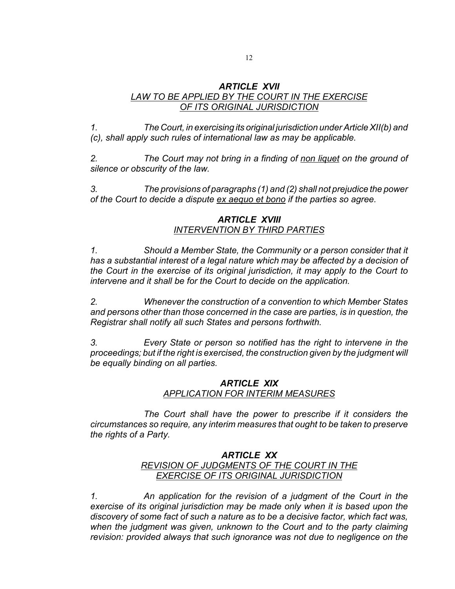#### *ARTICLE XVII LAW TO BE APPLIED BY THE COURT IN THE EXERCISE OF ITS ORIGINAL JURISDICTION*

*1. The Court, in exercising its original jurisdiction under Article XII(b) and (c), shall apply such rules of international law as may be applicable.*

*2. The Court may not bring in a finding of non liquet on the ground of silence or obscurity of the law.*

*3. The provisions of paragraphs (1) and (2) shall not prejudice the power of the Court to decide a dispute ex aequo et bono if the parties so agree.*

## *ARTICLE XVIII INTERVENTION BY THIRD PARTIES*

*1. Should a Member State, the Community or a person consider that it has a substantial interest of a legal nature which may be affected by a decision of the Court in the exercise of its original jurisdiction, it may apply to the Court to intervene and it shall be for the Court to decide on the application.*

*2. Whenever the construction of a convention to which Member States and persons other than those concerned in the case are parties, is in question, the Registrar shall notify all such States and persons forthwith.*

*3. Every State or person so notified has the right to intervene in the proceedings; but if the right is exercised, the construction given by the judgment will be equally binding on all parties.*

## *ARTICLE XIX APPLICATION FOR INTERIM MEASURES*

*The Court shall have the power to prescribe if it considers the circumstances so require, any interim measures that ought to be taken to preserve the rights of a Party.*

## *ARTICLE XX REVISION OF JUDGMENTS OF THE COURT IN THE EXERCISE OF ITS ORIGINAL JURISDICTION*

*1. An application for the revision of a judgment of the Court in the exercise of its original jurisdiction may be made only when it is based upon the discovery of some fact of such a nature as to be a decisive factor, which fact was, when the judgment was given, unknown to the Court and to the party claiming revision: provided always that such ignorance was not due to negligence on the*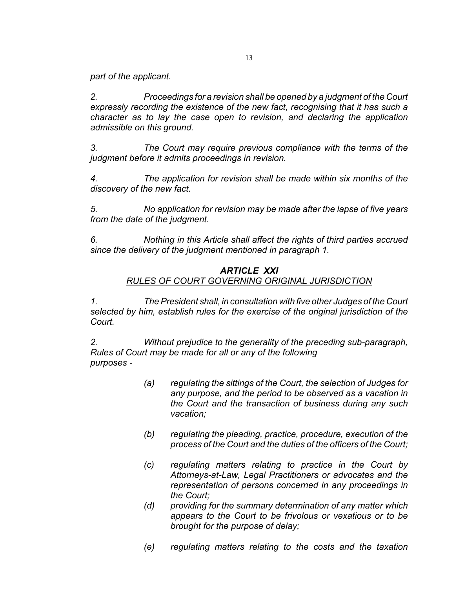*part of the applicant.*

*2. Proceedings for a revision shall be opened by a judgment of the Court expressly recording the existence of the new fact, recognising that it has such a character as to lay the case open to revision, and declaring the application admissible on this ground.*

*3. The Court may require previous compliance with the terms of the judgment before it admits proceedings in revision.*

*4. The application for revision shall be made within six months of the discovery of the new fact.*

*5. No application for revision may be made after the lapse of five years from the date of the judgment.*

*6. Nothing in this Article shall affect the rights of third parties accrued since the delivery of the judgment mentioned in paragraph 1.*

## *ARTICLE XXI RULES OF COURT GOVERNING ORIGINAL JURISDICTION*

*1. The President shall, in consultation with five other Judges of the Court selected by him, establish rules for the exercise of the original jurisdiction of the Court.*

*2. Without prejudice to the generality of the preceding sub-paragraph, Rules of Court may be made for all or any of the following purposes -*

- *(a) regulating the sittings of the Court, the selection of Judges for any purpose, and the period to be observed as a vacation in the Court and the transaction of business during any such vacation;*
- *(b) regulating the pleading, practice, procedure, execution of the process of the Court and the duties of the officers of the Court;*
- *(c) regulating matters relating to practice in the Court by Attorneys-at-Law, Legal Practitioners or advocates and the representation of persons concerned in any proceedings in the Court;*
- *(d) providing for the summary determination of any matter which appears to the Court to be frivolous or vexatious or to be brought for the purpose of delay;*
- *(e) regulating matters relating to the costs and the taxation*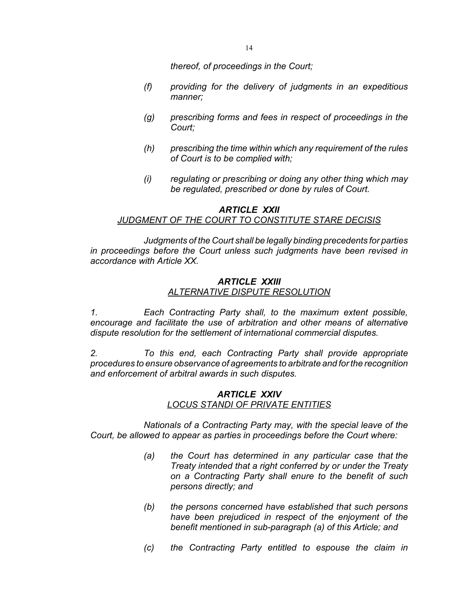*thereof, of proceedings in the Court;*

- *(f) providing for the delivery of judgments in an expeditious manner;*
- *(g) prescribing forms and fees in respect of proceedings in the Court;*
- *(h) prescribing the time within which any requirement of the rules of Court is to be complied with;*
- *(i) regulating or prescribing or doing any other thing which may be regulated, prescribed or done by rules of Court.*

## *ARTICLE XXII JUDGMENT OF THE COURT TO CONSTITUTE STARE DECISIS*

*Judgments of the Court shall be legally binding precedents for parties in proceedings before the Court unless such judgments have been revised in accordance with Article XX.*

#### *ARTICLE XXIII*

#### *ALTERNATIVE DISPUTE RESOLUTION*

*1. Each Contracting Party shall, to the maximum extent possible, encourage and facilitate the use of arbitration and other means of alternative dispute resolution for the settlement of international commercial disputes.*

*2. To this end, each Contracting Party shall provide appropriate procedures to ensure observance of agreements to arbitrate and for the recognition and enforcement of arbitral awards in such disputes.*

## *ARTICLE XXIV LOCUS STANDI OF PRIVATE ENTITIES*

*Nationals of a Contracting Party may, with the special leave of the Court, be allowed to appear as parties in proceedings before the Court where:*

- *(a) the Court has determined in any particular case that the Treaty intended that a right conferred by or under the Treaty on a Contracting Party shall enure to the benefit of such persons directly; and*
- *(b) the persons concerned have established that such persons have been prejudiced in respect of the enjoyment of the benefit mentioned in sub-paragraph (a) of this Article; and*
- *(c) the Contracting Party entitled to espouse the claim in*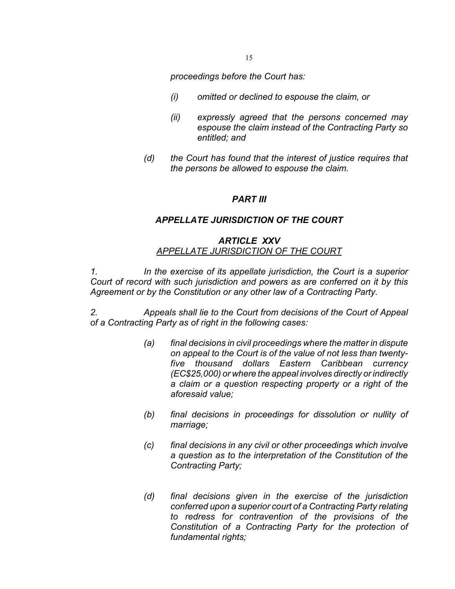*proceedings before the Court has:*

- *(i) omitted or declined to espouse the claim, or*
- *(ii) expressly agreed that the persons concerned may espouse the claim instead of the Contracting Party so entitled; and*
- *(d) the Court has found that the interest of justice requires that the persons be allowed to espouse the claim.*

#### *PART III*

#### *APPELLATE JURISDICTION OF THE COURT*

#### *ARTICLE XXV APPELLATE JURISDICTION OF THE COURT*

*1. In the exercise of its appellate jurisdiction, the Court is a superior Court of record with such jurisdiction and powers as are conferred on it by this Agreement or by the Constitution or any other law of a Contracting Party.*

*2. Appeals shall lie to the Court from decisions of the Court of Appeal of a Contracting Party as of right in the following cases:*

- *(a) final decisions in civil proceedings where the matter in dispute on appeal to the Court is of the value of not less than twentyfive thousand dollars Eastern Caribbean currency (EC\$25,000) or where the appeal involves directly or indirectly a claim or a question respecting property or a right of the aforesaid value;*
- *(b) final decisions in proceedings for dissolution or nullity of marriage;*
- *(c) final decisions in any civil or other proceedings which involve a question as to the interpretation of the Constitution of the Contracting Party;*
- *(d) final decisions given in the exercise of the jurisdiction conferred upon a superior court of a Contracting Party relating to redress for contravention of the provisions of the Constitution of a Contracting Party for the protection of fundamental rights;*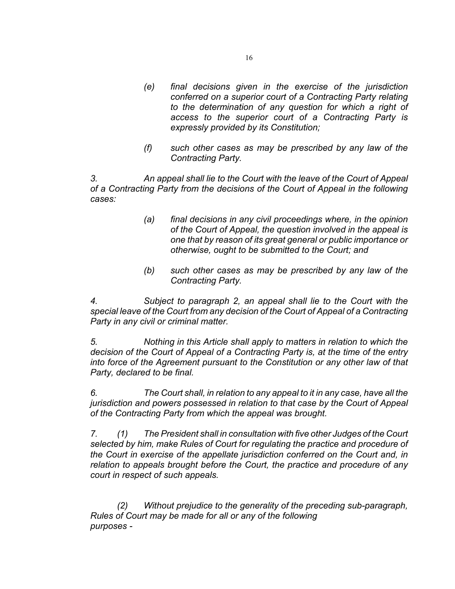- *(e) final decisions given in the exercise of the jurisdiction conferred on a superior court of a Contracting Party relating to the determination of any question for which a right of access to the superior court of a Contracting Party is expressly provided by its Constitution;*
- *(f) such other cases as may be prescribed by any law of the Contracting Party.*

*3. An appeal shall lie to the Court with the leave of the Court of Appeal of a Contracting Party from the decisions of the Court of Appeal in the following cases:*

- *(a) final decisions in any civil proceedings where, in the opinion of the Court of Appeal, the question involved in the appeal is one that by reason of its great general or public importance or otherwise, ought to be submitted to the Court; and*
- *(b) such other cases as may be prescribed by any law of the Contracting Party.*

*4. Subject to paragraph 2, an appeal shall lie to the Court with the special leave of the Court from any decision of the Court of Appeal of a Contracting Party in any civil or criminal matter.*

*5. Nothing in this Article shall apply to matters in relation to which the decision of the Court of Appeal of a Contracting Party is, at the time of the entry into force of the Agreement pursuant to the Constitution or any other law of that Party, declared to be final.*

*6. The Court shall, in relation to any appeal to it in any case, have all the jurisdiction and powers possessed in relation to that case by the Court of Appeal of the Contracting Party from which the appeal was brought.*

*7. (1) The President shall in consultation with five other Judges of the Court selected by him, make Rules of Court for regulating the practice and procedure of the Court in exercise of the appellate jurisdiction conferred on the Court and, in relation to appeals brought before the Court, the practice and procedure of any court in respect of such appeals.*

*(2) Without prejudice to the generality of the preceding sub-paragraph, Rules of Court may be made for all or any of the following purposes -*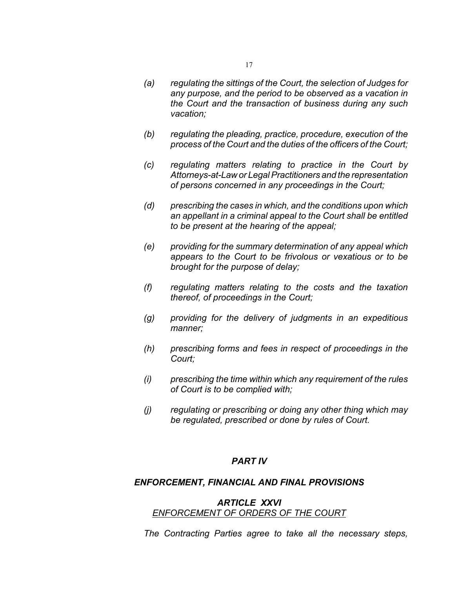- *(b) regulating the pleading, practice, procedure, execution of the process of the Court and the duties of the officers of the Court;*
- *(c) regulating matters relating to practice in the Court by Attorneys-at-Law or Legal Practitioners and the representation of persons concerned in any proceedings in the Court;*
- *(d) prescribing the cases in which, and the conditions upon which an appellant in a criminal appeal to the Court shall be entitled to be present at the hearing of the appeal;*
- *(e) providing for the summary determination of any appeal which appears to the Court to be frivolous or vexatious or to be brought for the purpose of delay;*
- *(f) regulating matters relating to the costs and the taxation thereof, of proceedings in the Court;*
- *(g) providing for the delivery of judgments in an expeditious manner;*
- *(h) prescribing forms and fees in respect of proceedings in the Court;*
- *(i) prescribing the time within which any requirement of the rules of Court is to be complied with;*
- *(j) regulating or prescribing or doing any other thing which may be regulated, prescribed or done by rules of Court.*

## *PART IV*

#### *ENFORCEMENT, FINANCIAL AND FINAL PROVISIONS*

#### *ARTICLE XXVI ENFORCEMENT OF ORDERS OF THE COURT*

*The Contracting Parties agree to take all the necessary steps,*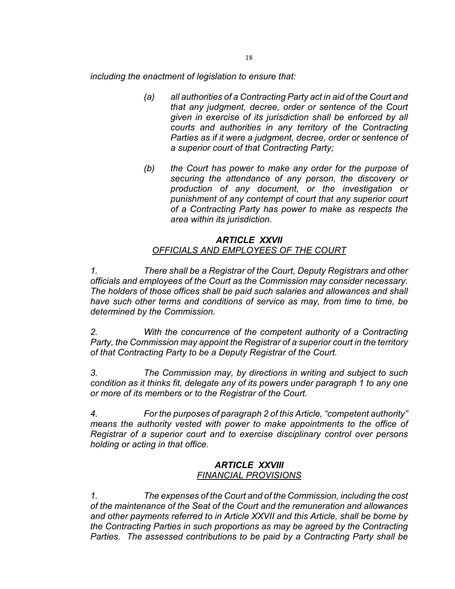*including the enactment of legislation to ensure that:*

- *(a) all authorities of a Contracting Party act in aid of the Court and that any judgment, decree, order or sentence of the Court given in exercise of its jurisdiction shall be enforced by all courts and authorities in any territory of the Contracting Parties as if it were a judgment, decree, order or sentence of a superior court of that Contracting Party;*
- *(b) the Court has power to make any order for the purpose of securing the attendance of any person, the discovery or production of any document, or the investigation or punishment of any contempt of court that any superior court of a Contracting Party has power to make as respects the area within its jurisdiction.*

## *ARTICLE XXVII OFFICIALS AND EMPLOYEES OF THE COURT*

*1. There shall be a Registrar of the Court, Deputy Registrars and other officials and employees of the Court as the Commission may consider necessary. The holders of those offices shall be paid such salaries and allowances and shall have such other terms and conditions of service as may, from time to time, be determined by the Commission.* 

*2. With the concurrence of the competent authority of a Contracting Party, the Commission may appoint the Registrar of a superior court in the territory of that Contracting Party to be a Deputy Registrar of the Court.*

*3. The Commission may, by directions in writing and subject to such condition as it thinks fit, delegate any of its powers under paragraph 1 to any one or more of its members or to the Registrar of the Court.*

*4. For the purposes of paragraph 2 of this Article, "competent authority" means the authority vested with power to make appointments to the office of Registrar of a superior court and to exercise disciplinary control over persons holding or acting in that office.*

## *ARTICLE XXVIII FINANCIAL PROVISIONS*

*1. The expenses of the Court and of the Commission, including the cost of the maintenance of the Seat of the Court and the remuneration and allowances and other payments referred to in Article XXVII and this Article, shall be borne by the Contracting Parties in such proportions as may be agreed by the Contracting Parties. The assessed contributions to be paid by a Contracting Party shall be*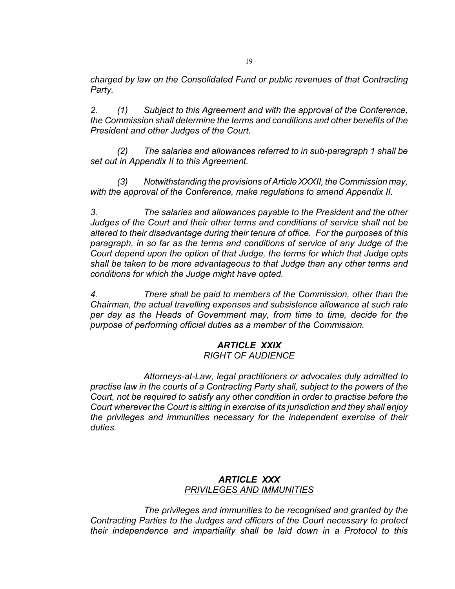*charged by law on the Consolidated Fund or public revenues of that Contracting Party.*

*2. (1) Subject to this Agreement and with the approval of the Conference, the Commission shall determine the terms and conditions and other benefits of the President and other Judges of the Court.*

*(2) The salaries and allowances referred to in sub-paragraph 1 shall be set out in Appendix II to this Agreement.*

*(3) Notwithstanding the provisions of Article XXXII, the Commission may, with the approval of the Conference, make regulations to amend Appendix II.*

*3. The salaries and allowances payable to the President and the other Judges of the Court and their other terms and conditions of service shall not be altered to their disadvantage during their tenure of office. For the purposes of this paragraph, in so far as the terms and conditions of service of any Judge of the Court depend upon the option of that Judge, the terms for which that Judge opts shall be taken to be more advantageous to that Judge than any other terms and conditions for which the Judge might have opted.*

*4. There shall be paid to members of the Commission, other than the Chairman, the actual travelling expenses and subsistence allowance at such rate per day as the Heads of Government may, from time to time, decide for the purpose of performing official duties as a member of the Commission.*

#### *ARTICLE XXIX RIGHT OF AUDIENCE*

*Attorneys-at-Law, legal practitioners or advocates duly admitted to practise law in the courts of a Contracting Party shall, subject to the powers of the Court, not be required to satisfy any other condition in order to practise before the Court wherever the Court is sitting in exercise of its jurisdiction and they shall enjoy the privileges and immunities necessary for the independent exercise of their duties.*

## *ARTICLE XXX PRIVILEGES AND IMMUNITIES*

*The privileges and immunities to be recognised and granted by the Contracting Parties to the Judges and officers of the Court necessary to protect their independence and impartiality shall be laid down in a Protocol to this*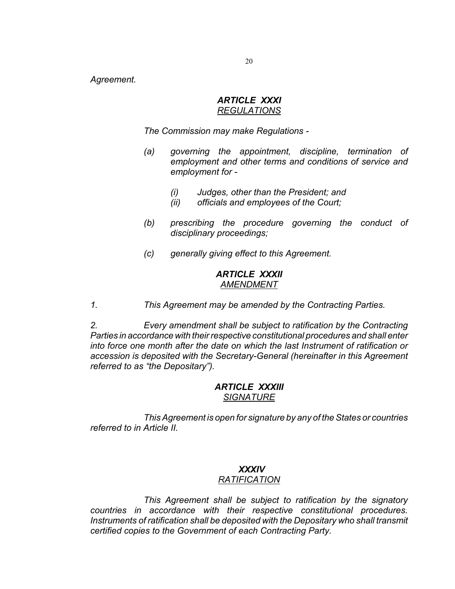*Agreement.*

#### *ARTICLE XXXI REGULATIONS*

*The Commission may make Regulations -*

- *(a) governing the appointment, discipline, termination of employment and other terms and conditions of service and employment for -*
	- *(i) Judges, other than the President; and*
	- *(ii) officials and employees of the Court;*
- *(b) prescribing the procedure governing the conduct of disciplinary proceedings;*
- *(c) generally giving effect to this Agreement.*

#### *ARTICLE XXXII AMENDMENT*

*1. This Agreement may be amended by the Contracting Parties.*

*2. Every amendment shall be subject to ratification by the Contracting Parties in accordance with their respective constitutional procedures and shall enter into force one month after the date on which the last Instrument of ratification or accession is deposited with the Secretary-General (hereinafter in this Agreement referred to as "the Depositary").*

#### *ARTICLE XXXIII SIGNATURE*

*This Agreement is open for signature by any of the States or countries referred to in Article II.*

## *XXXIV*

## *RATIFICATION*

*This Agreement shall be subject to ratification by the signatory countries in accordance with their respective constitutional procedures. Instruments of ratification shall be deposited with the Depositary who shall transmit certified copies to the Government of each Contracting Party.*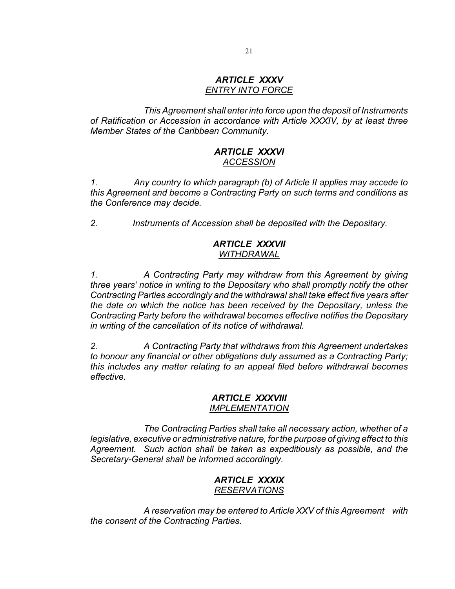#### *ARTICLE XXXV ENTRY INTO FORCE*

*This Agreement shall enter into force upon the deposit of Instruments of Ratification or Accession in accordance with Article XXXIV, by at least three Member States of the Caribbean Community.*

## *ARTICLE XXXVI ACCESSION*

*1. Any country to which paragraph (b) of Article II applies may accede to this Agreement and become a Contracting Party on such terms and conditions as the Conference may decide.*

*2. Instruments of Accession shall be deposited with the Depositary.*

## *ARTICLE XXXVII WITHDRAWAL*

*1. A Contracting Party may withdraw from this Agreement by giving three years' notice in writing to the Depositary who shall promptly notify the other Contracting Parties accordingly and the withdrawal shall take effect five years after the date on which the notice has been received by the Depositary, unless the Contracting Party before the withdrawal becomes effective notifies the Depositary in writing of the cancellation of its notice of withdrawal.*

*2. A Contracting Party that withdraws from this Agreement undertakes to honour any financial or other obligations duly assumed as a Contracting Party; this includes any matter relating to an appeal filed before withdrawal becomes effective.*

#### *ARTICLE XXXVIII IMPLEMENTATION*

*The Contracting Parties shall take all necessary action, whether of a legislative, executive or administrative nature, for the purpose of giving effect to this Agreement. Such action shall be taken as expeditiously as possible, and the Secretary-General shall be informed accordingly.*

## *ARTICLE XXXIX RESERVATIONS*

*A reservation may be entered to Article XXV of this Agreement with the consent of the Contracting Parties.*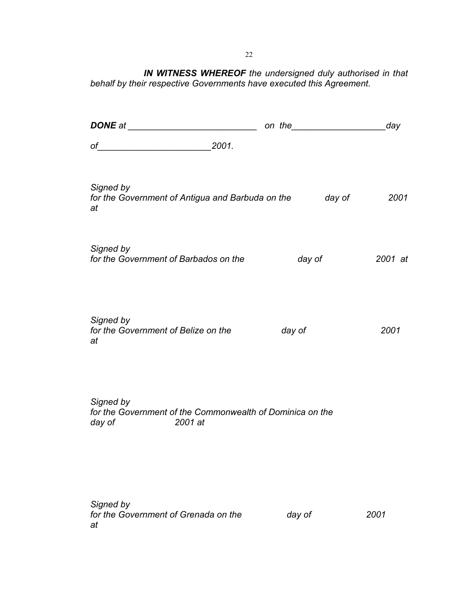*IN WITNESS WHEREOF the undersigned duly authorised in that behalf by their respective Governments have executed this Agreement.*

|                                                                                                                                                                                                     | on the <u>second</u> contract the second the second second the second second the second second term of the second second term in the second second second second second second second second second second second second second sec | day     |
|-----------------------------------------------------------------------------------------------------------------------------------------------------------------------------------------------------|-------------------------------------------------------------------------------------------------------------------------------------------------------------------------------------------------------------------------------------|---------|
|                                                                                                                                                                                                     |                                                                                                                                                                                                                                     |         |
| Signed by<br>for the Government of Antigua and Barbuda on the day of<br>at                                                                                                                          |                                                                                                                                                                                                                                     | 2001    |
| Signed by<br>for the Government of Barbados on the                                                                                                                                                  | day of                                                                                                                                                                                                                              | 2001 at |
| Signed by<br>for the Government of Belize on the<br>at                                                                                                                                              | day of                                                                                                                                                                                                                              | 2001    |
| Signed by<br>for the Government of the Commonwealth of Dominica on the<br>day of the control of the control of the control of the control of the control of the control of the control o<br>2001 at |                                                                                                                                                                                                                                     |         |
| Signed by<br>for the Government of Grenada on the<br>at                                                                                                                                             | day of                                                                                                                                                                                                                              | 2001    |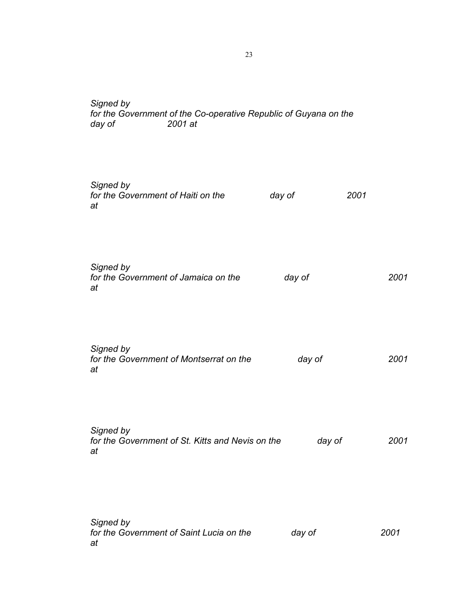## *Signed by for the Government of the Co-operative Republic of Guyana on the day of 2001 at*

| Signed by<br>for the Government of Haiti on the<br>at               | day of | 2001 |
|---------------------------------------------------------------------|--------|------|
| Signed by<br>for the Government of Jamaica on the<br>at             | day of | 2001 |
| Signed by<br>for the Government of Montserrat on the<br>at          | day of | 2001 |
| Signed by<br>for the Government of St. Kitts and Nevis on the<br>at | day of | 2001 |
| Signed by<br>for the Government of Saint Lucia on the<br>at         | day of | 2001 |

23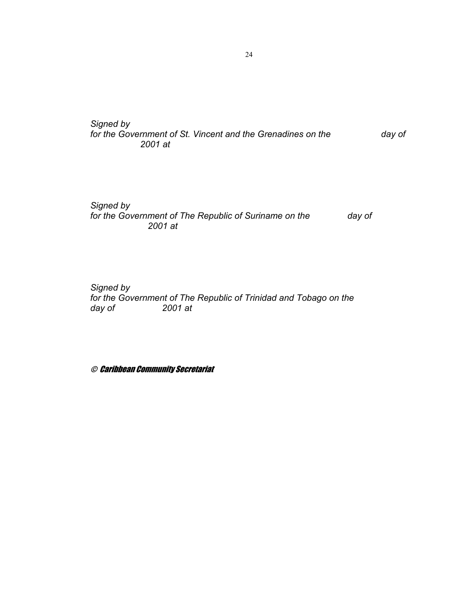*Signed by for the Government of St. Vincent and the Grenadines on the day of 2001 at*

*Signed by for the Government of The Republic of Suriname on the day of 2001 at*

*Signed by for the Government of The Republic of Trinidad and Tobago on the day of 2001 at*

© Caribbean Community Secretariat

24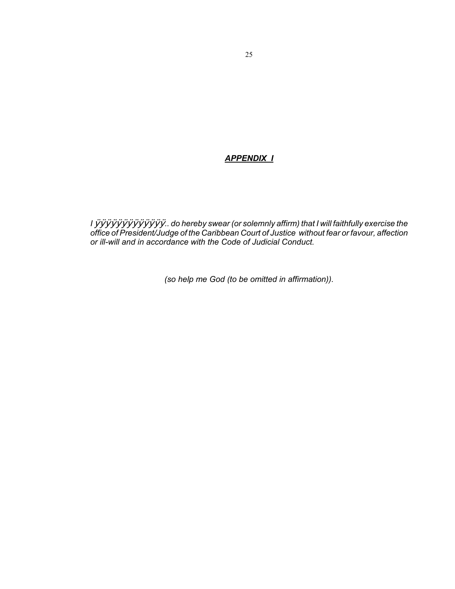#### *APPENDIX I*

*I* ÿÿÿÿÿÿÿÿÿÿÿÿÿ*.. do hereby swear (or solemnly affirm) that I will faithfully exercise the office of President/Judge of the Caribbean Court of Justice without fear or favour, affection or ill-will and in accordance with the Code of Judicial Conduct.*

*(so help me God (to be omitted in affirmation)).*